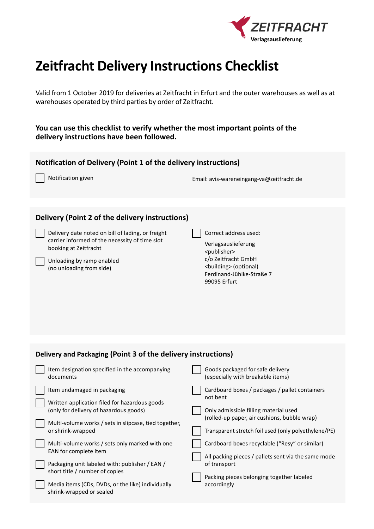

## **Zeitfracht Delivery Instructions Checklist**

Valid from 1 October 2019 for deliveries at Zeitfracht in Erfurt and the outer warehouses as well as at warehouses operated by third parties by order of Zeitfracht.

**You can use this checklist to verify whether the most important points of the delivery instructions have been followed.**

| Notification of Delivery (Point 1 of the delivery instructions)                                                                                                                 |                                                                                                        |
|---------------------------------------------------------------------------------------------------------------------------------------------------------------------------------|--------------------------------------------------------------------------------------------------------|
| Notification given                                                                                                                                                              | Email: avis-wareneingang-va@zeitfracht.de                                                              |
|                                                                                                                                                                                 |                                                                                                        |
| Delivery (Point 2 of the delivery instructions)<br>Delivery date noted on bill of lading, or freight<br>carrier informed of the necessity of time slot<br>booking at Zeitfracht | Correct address used:<br>Verlagsauslieferung<br><publisher></publisher>                                |
| Unloading by ramp enabled<br>(no unloading from side)                                                                                                                           | c/o Zeitfracht GmbH<br><building> (optional)<br/>Ferdinand-Jühlke-Straße 7<br/>99095 Erfurt</building> |
|                                                                                                                                                                                 |                                                                                                        |
| Delivery and Packaging (Point 3 of the delivery instructions)                                                                                                                   |                                                                                                        |
| Item designation specified in the accompanying<br>documents                                                                                                                     | Goods packaged for safe delivery<br>(especially with breakable items)                                  |
| Item undamaged in packaging                                                                                                                                                     | Cardboard boxes / packages / pallet containers                                                         |
| Written application filed for hazardous goods<br>(only for delivery of hazardous goods)                                                                                         | not bent<br>Only admissible filling material used                                                      |
| Multi-volume works / sets in slipcase, tied together,<br>or shrink-wrapped                                                                                                      | (rolled-up paper, air cushions, bubble wrap)<br>Transparent stretch foil used (only polyethylene/PE)   |
| Multi-volume works / sets only marked with one<br>EAN for complete item                                                                                                         | Cardboard boxes recyclable ("Resy" or similar)                                                         |
| Packaging unit labeled with: publisher / EAN /<br>short title / number of copies                                                                                                | All packing pieces / pallets sent via the same mode<br>of transport                                    |
| Media items (CDs, DVDs, or the like) individually<br>shrink-wrapped or sealed                                                                                                   | Packing pieces belonging together labeled<br>accordingly                                               |